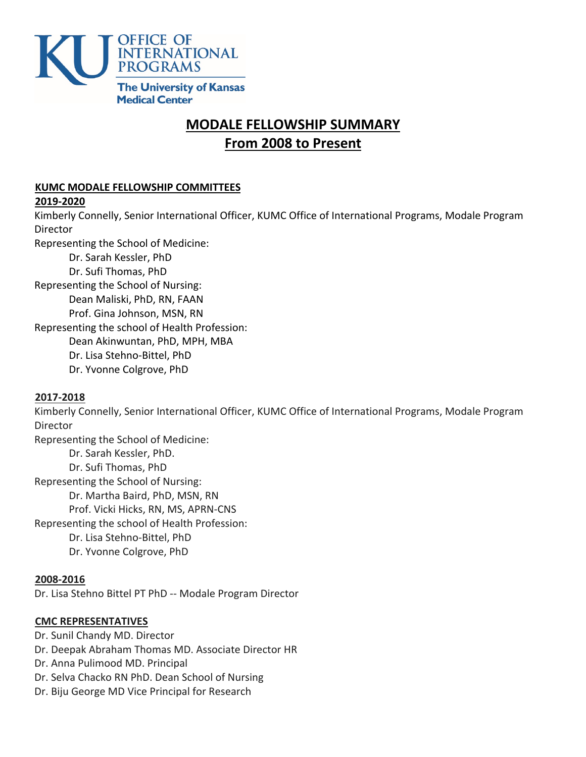

# <sup>U</sup>**MODALE FELLOWSHIP SUMMARY** <sup>U</sup>**From 2008 to Present**

## <sup>U</sup>**KUMC MODALE FELLOWSHIP COMMITTEES**

#### <sup>U</sup>**2019-2020**

Kimberly Connelly, Senior International Officer, KUMC Office of International Programs, Modale Program **Director** 

Representing the School of Medicine:

Dr. Sarah Kessler, PhD Dr. Sufi Thomas, PhD

Representing the School of Nursing:

Dean Maliski, PhD, RN, FAAN

Prof. Gina Johnson, MSN, RN

Representing the school of Health Profession:

Dean Akinwuntan, PhD, MPH, MBA

Dr. Lisa Stehno-Bittel, PhD

Dr. Yvonne Colgrove, PhD

## <sup>U</sup>**2017-2018**

Kimberly Connelly, Senior International Officer, KUMC Office of International Programs, Modale Program Director

Representing the School of Medicine: Dr. Sarah Kessler, PhD. Dr. Sufi Thomas, PhD Representing the School of Nursing: Dr. Martha Baird, PhD, MSN, RN Prof. Vicki Hicks, RN, MS, APRN-CNS Representing the school of Health Profession: Dr. Lisa Stehno-Bittel, PhD Dr. Yvonne Colgrove, PhD

## <sup>U</sup>**2008-2016**

Dr. Lisa Stehno Bittel PT PhD -- Modale Program Director

## <sup>U</sup>**CMC REPRESENTATIVES**

- Dr. Sunil Chandy MD. Director
- Dr. Deepak Abraham Thomas MD. Associate Director HR
- Dr. Anna Pulimood MD. Principal
- Dr. Selva Chacko RN PhD. Dean School of Nursing
- Dr. Biju George MD Vice Principal for Research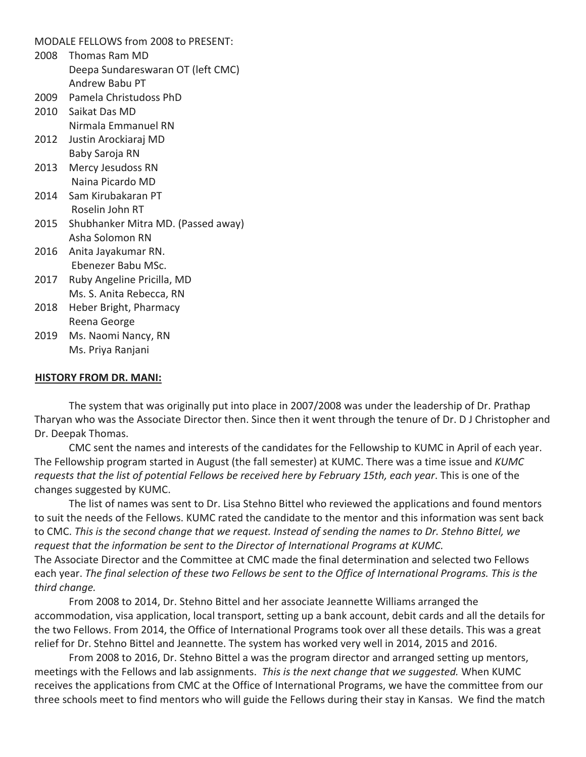MODALE FELLOWS from 2008 to PRESENT:

- 2008 Thomas Ram MD Deepa Sundareswaran OT (left CMC) Andrew Babu PT
- 2009 Pamela Christudoss PhD
- 2010 Saikat Das MD Nirmala Emmanuel RN
- 2012 Justin Arockiaraj MD Baby Saroja RN
- 2013 Mercy Jesudoss RN Naina Picardo MD
- 2014 Sam Kirubakaran PT Roselin John RT
- 2015 Shubhanker Mitra MD. (Passed away) Asha Solomon RN
- 2016 Anita Jayakumar RN. Ebenezer Babu MSc.
- 2017 Ruby Angeline Pricilla, MD Ms. S. Anita Rebecca, RN
- 2018 Heber Bright, Pharmacy Reena George
- 2019 Ms. Naomi Nancy, RN Ms. Priya Ranjani

#### **HISTORY FROM DR. MANI:**

The system that was originally put into place in 2007/2008 was under the leadership of Dr. Prathap Tharyan who was the Associate Director then. Since then it went through the tenure of Dr. D J Christopher and Dr. Deepak Thomas.

CMC sent the names and interests of the candidates for the Fellowship to KUMC in April of each year. The Fellowship program started in August (the fall semester) at KUMC. There was a time issue and *KUMC requests that the list of potential Fellows be received here by February 15th, each year*. This is one of the changes suggested by KUMC.

The list of names was sent to Dr. Lisa Stehno Bittel who reviewed the applications and found mentors to suit the needs of the Fellows. KUMC rated the candidate to the mentor and this information was sent back to CMC. *This is the second change that we request. Instead of sending the names to Dr. Stehno Bittel, we request that the information be sent to the Director of International Programs at KUMC.* The Associate Director and the Committee at CMC made the final determination and selected two Fellows each year. *The final selection of these two Fellows be sent to the Office of International Programs. This is the* 

*third change.*

From 2008 to 2014, Dr. Stehno Bittel and her associate Jeannette Williams arranged the accommodation, visa application, local transport, setting up a bank account, debit cards and all the details for the two Fellows. From 2014, the Office of International Programs took over all these details. This was a great relief for Dr. Stehno Bittel and Jeannette. The system has worked very well in 2014, 2015 and 2016.

From 2008 to 2016, Dr. Stehno Bittel a was the program director and arranged setting up mentors, meetings with the Fellows and lab assignments. *This is the next change that we suggested.* When KUMC receives the applications from CMC at the Office of International Programs, we have the committee from our three schools meet to find mentors who will guide the Fellows during their stay in Kansas. We find the match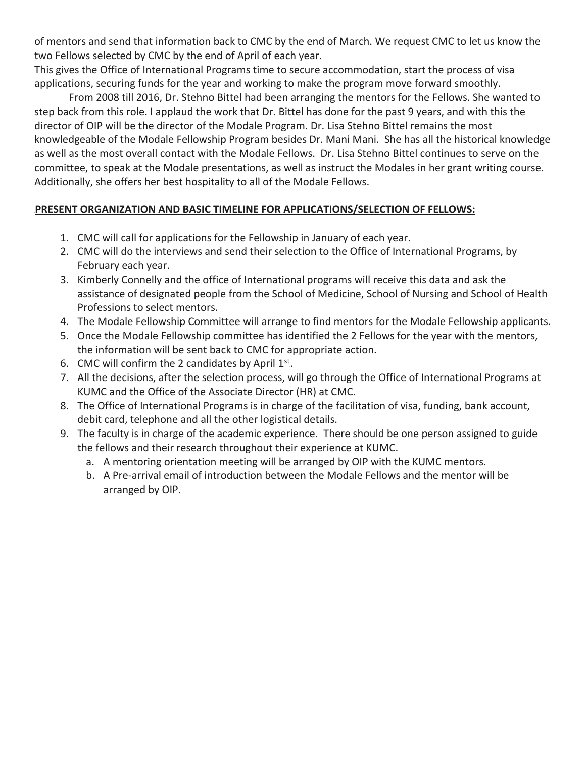of mentors and send that information back to CMC by the end of March. We request CMC to let us know the two Fellows selected by CMC by the end of April of each year.

This gives the Office of International Programs time to secure accommodation, start the process of visa applications, securing funds for the year and working to make the program move forward smoothly.

From 2008 till 2016, Dr. Stehno Bittel had been arranging the mentors for the Fellows. She wanted to step back from this role. I applaud the work that Dr. Bittel has done for the past 9 years, and with this the director of OIP will be the director of the Modale Program. Dr. Lisa Stehno Bittel remains the most knowledgeable of the Modale Fellowship Program besides Dr. Mani Mani. She has all the historical knowledge as well as the most overall contact with the Modale Fellows. Dr. Lisa Stehno Bittel continues to serve on the committee, to speak at the Modale presentations, as well as instruct the Modales in her grant writing course. Additionally, she offers her best hospitality to all of the Modale Fellows.

# **PRESENT ORGANIZATION AND BASIC TIMELINE FOR APPLICATIONS/SELECTION OF FELLOWS:**

- 1. CMC will call for applications for the Fellowship in January of each year.
- 2. CMC will do the interviews and send their selection to the Office of International Programs, by February each year.
- 3. Kimberly Connelly and the office of International programs will receive this data and ask the assistance of designated people from the School of Medicine, School of Nursing and School of Health Professions to select mentors.
- 4. The Modale Fellowship Committee will arrange to find mentors for the Modale Fellowship applicants.
- 5. Once the Modale Fellowship committee has identified the 2 Fellows for the year with the mentors, the information will be sent back to CMC for appropriate action.
- 6. CMC will confirm the 2 candidates by April  $1<sup>st</sup>$ .
- 7. All the decisions, after the selection process, will go through the Office of International Programs at KUMC and the Office of the Associate Director (HR) at CMC.
- 8. The Office of International Programs is in charge of the facilitation of visa, funding, bank account, debit card, telephone and all the other logistical details.
- 9. The faculty is in charge of the academic experience. There should be one person assigned to guide the fellows and their research throughout their experience at KUMC.
	- a. A mentoring orientation meeting will be arranged by OIP with the KUMC mentors.
	- b. A Pre-arrival email of introduction between the Modale Fellows and the mentor will be arranged by OIP.